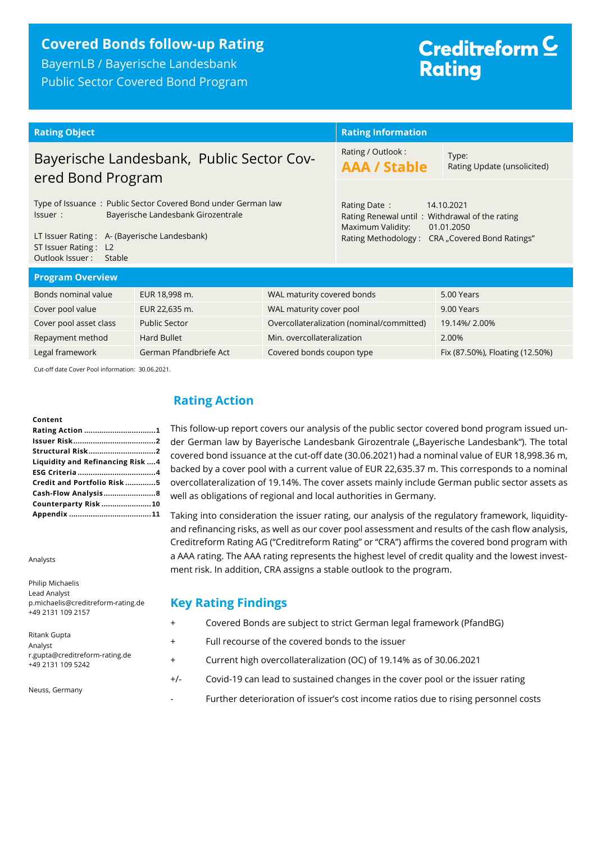# **Covered Bonds follow-up Rating**

BayernLB / Bayerische Landesbank Public Sector Covered Bond Program

# Creditreform<sup>C</sup> **Rating**

| <b>Rating Object</b>                                                                                                                                                                                                |                        | <b>Rating Information</b>                                                                                                                                            |                                           |                                 |
|---------------------------------------------------------------------------------------------------------------------------------------------------------------------------------------------------------------------|------------------------|----------------------------------------------------------------------------------------------------------------------------------------------------------------------|-------------------------------------------|---------------------------------|
| Bayerische Landesbank, Public Sector Cov-<br>ered Bond Program                                                                                                                                                      |                        | Rating / Outlook:<br><b>AAA / Stable</b>                                                                                                                             | Type:<br>Rating Update (unsolicited)      |                                 |
| Type of Issuance: Public Sector Covered Bond under German law<br>Bayerische Landesbank Girozentrale<br>Issuer:<br>LT Issuer Rating: A- (Bayerische Landesbank)<br>ST Issuer Rating: L2<br>Outlook Issuer:<br>Stable |                        | Rating Date:<br>14.10.2021<br>Rating Renewal until: Withdrawal of the rating<br>Maximum Validity:<br>01.01.2050<br>Rating Methodology:<br>CRA "Covered Bond Ratings" |                                           |                                 |
| <b>Program Overview</b>                                                                                                                                                                                             |                        |                                                                                                                                                                      |                                           |                                 |
| Bonds nominal value                                                                                                                                                                                                 | EUR 18,998 m.          | WAL maturity covered bonds                                                                                                                                           |                                           | 5.00 Years                      |
| Cover pool value                                                                                                                                                                                                    | EUR 22,635 m.          | WAL maturity cover pool                                                                                                                                              |                                           | 9.00 Years                      |
| Cover pool asset class                                                                                                                                                                                              | <b>Public Sector</b>   |                                                                                                                                                                      | Overcollateralization (nominal/committed) | 19.14%/2.00%                    |
| Repayment method                                                                                                                                                                                                    | <b>Hard Bullet</b>     | Min. overcollateralization                                                                                                                                           |                                           | 2.00%                           |
| Legal framework                                                                                                                                                                                                     | German Pfandbriefe Act | Covered bonds coupon type                                                                                                                                            |                                           | Fix (87.50%), Floating (12.50%) |

Cut-off date Cover Pool information: 30.06.2021.

#### **Content**

| <b>Structural Risk2</b>           |  |
|-----------------------------------|--|
| Liquidity and Refinancing Risk  4 |  |
|                                   |  |
| Credit and Portfolio Risk5        |  |
|                                   |  |
| Counterparty Risk 10              |  |
|                                   |  |

Analysts

Philip Michaelis Lead Analyst p.michaelis@creditreform-rating.de +49 2131 109 2157

Ritank Gupta Analyst r.gupta@creditreform-rating.de +49 2131 109 5242

Neuss, Germany

## <span id="page-0-0"></span>**Rating Action**

This follow-up report covers our analysis of the public sector covered bond program issued under German law by Bayerische Landesbank Girozentrale ("Bayerische Landesbank"). The total covered bond issuance at the cut-off date (30.06.2021) had a nominal value of EUR 18,998.36 m, backed by a cover pool with a current value of EUR 22,635.37 m. This corresponds to a nominal overcollateralization of 19.14%. The cover assets mainly include German public sector assets as well as obligations of regional and local authorities in Germany.

Taking into consideration the issuer rating, our analysis of the regulatory framework, liquidityand refinancing risks, as well as our cover pool assessment and results of the cash flow analysis, Creditreform Rating AG ("Creditreform Rating" or "CRA") affirms the covered bond program with a AAA rating. The AAA rating represents the highest level of credit quality and the lowest investment risk. In addition, CRA assigns a stable outlook to the program.

## **Key Rating Findings**

- + Covered Bonds are subject to strict German legal framework (PfandBG)
- + Full recourse of the covered bonds to the issuer
- + Current high overcollateralization (OC) of 19.14% as of 30.06.2021
- +/- Covid-19 can lead to sustained changes in the cover pool or the issuer rating
	- Further deterioration of issuer's cost income ratios due to rising personnel costs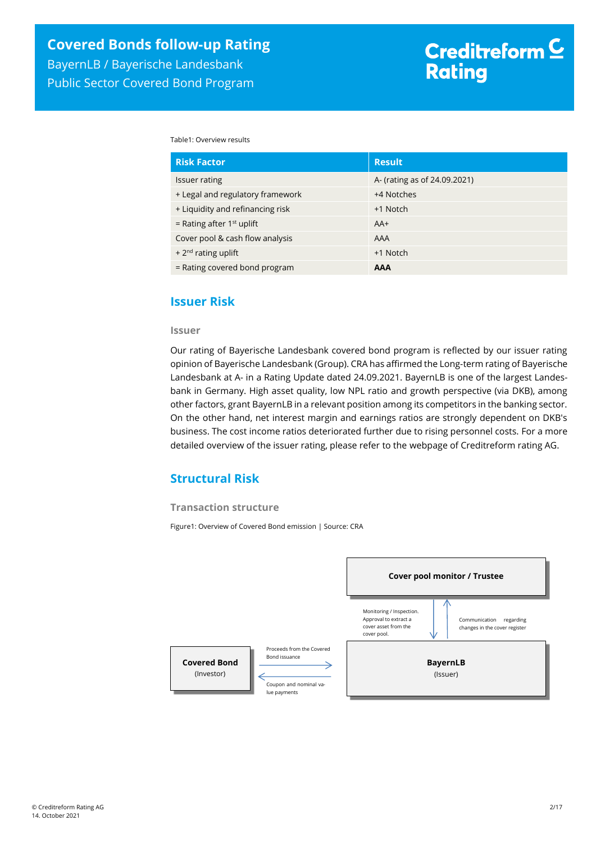Table1: Overview results

| <b>Risk Factor</b>               | <b>Result</b>                |
|----------------------------------|------------------------------|
| <b>Issuer rating</b>             | A- (rating as of 24.09.2021) |
| + Legal and regulatory framework | +4 Notches                   |
| + Liquidity and refinancing risk | +1 Notch                     |
| = Rating after $1st$ uplift      | $AA+$                        |
| Cover pool & cash flow analysis  | AAA                          |
| + $2^{nd}$ rating uplift         | +1 Notch                     |
| = Rating covered bond program    | <b>AAA</b>                   |

### <span id="page-1-0"></span>**Issuer Risk**

#### **Issuer**

Our rating of Bayerische Landesbank covered bond program is reflected by our issuer rating opinion of Bayerische Landesbank (Group). CRA has affirmed the Long-term rating of Bayerische Landesbank at A- in a Rating Update dated 24.09.2021. BayernLB is one of the largest Landesbank in Germany. High asset quality, low NPL ratio and growth perspective (via DKB), among other factors, grant BayernLB in a relevant position among its competitors in the banking sector. On the other hand, net interest margin and earnings ratios are strongly dependent on DKB's business. The cost income ratios deteriorated further due to rising personnel costs. For a more detailed overview of the issuer rating, please refer to the webpage of Creditreform rating AG.

## <span id="page-1-1"></span>**Structural Risk**

#### **Transaction structure**

Figure1: Overview of Covered Bond emission | Source: CRA

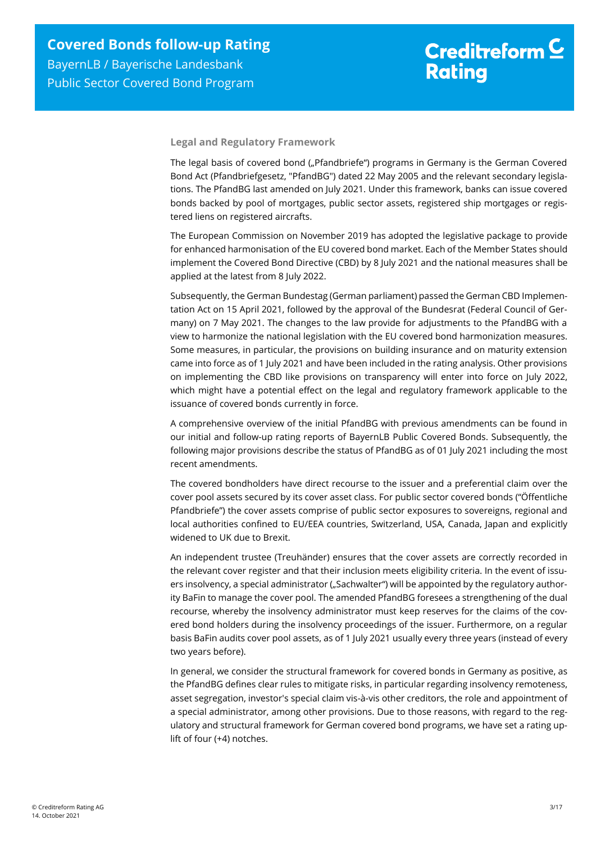#### **Legal and Regulatory Framework**

The legal basis of covered bond ("Pfandbriefe") programs in Germany is the German Covered Bond Act (Pfandbriefgesetz, "PfandBG") dated 22 May 2005 and the relevant secondary legislations. The PfandBG last amended on July 2021. Under this framework, banks can issue covered bonds backed by pool of mortgages, public sector assets, registered ship mortgages or registered liens on registered aircrafts.

The European Commission on November 2019 has adopted the legislative package to provide for enhanced harmonisation of the EU covered bond market. Each of the Member States should implement the Covered Bond Directive (CBD) by 8 July 2021 and the national measures shall be applied at the latest from 8 July 2022.

Subsequently, the German Bundestag (German parliament) passed the German CBD Implementation Act on 15 April 2021, followed by the approval of the Bundesrat (Federal Council of Germany) on 7 May 2021. The changes to the law provide for adjustments to the PfandBG with a view to harmonize the national legislation with the EU covered bond harmonization measures. Some measures, in particular, the provisions on building insurance and on maturity extension came into force as of 1 July 2021 and have been included in the rating analysis. Other provisions on implementing the CBD like provisions on transparency will enter into force on July 2022, which might have a potential effect on the legal and regulatory framework applicable to the issuance of covered bonds currently in force.

A comprehensive overview of the initial PfandBG with previous amendments can be found in our initial and follow-up rating reports of BayernLB Public Covered Bonds. Subsequently, the following major provisions describe the status of PfandBG as of 01 July 2021 including the most recent amendments.

The covered bondholders have direct recourse to the issuer and a preferential claim over the cover pool assets secured by its cover asset class. For public sector covered bonds ("Öffentliche Pfandbriefe") the cover assets comprise of public sector exposures to sovereigns, regional and local authorities confined to EU/EEA countries, Switzerland, USA, Canada, Japan and explicitly widened to UK due to Brexit.

An independent trustee (Treuhänder) ensures that the cover assets are correctly recorded in the relevant cover register and that their inclusion meets eligibility criteria. In the event of issuers insolvency, a special administrator ("Sachwalter") will be appointed by the regulatory authority BaFin to manage the cover pool. The amended PfandBG foresees a strengthening of the dual recourse, whereby the insolvency administrator must keep reserves for the claims of the covered bond holders during the insolvency proceedings of the issuer. Furthermore, on a regular basis BaFin audits cover pool assets, as of 1 July 2021 usually every three years (instead of every two years before).

In general, we consider the structural framework for covered bonds in Germany as positive, as the PfandBG defines clear rules to mitigate risks, in particular regarding insolvency remoteness, asset segregation, investor's special claim vis-à-vis other creditors, the role and appointment of a special administrator, among other provisions. Due to those reasons, with regard to the regulatory and structural framework for German covered bond programs, we have set a rating uplift of four (+4) notches.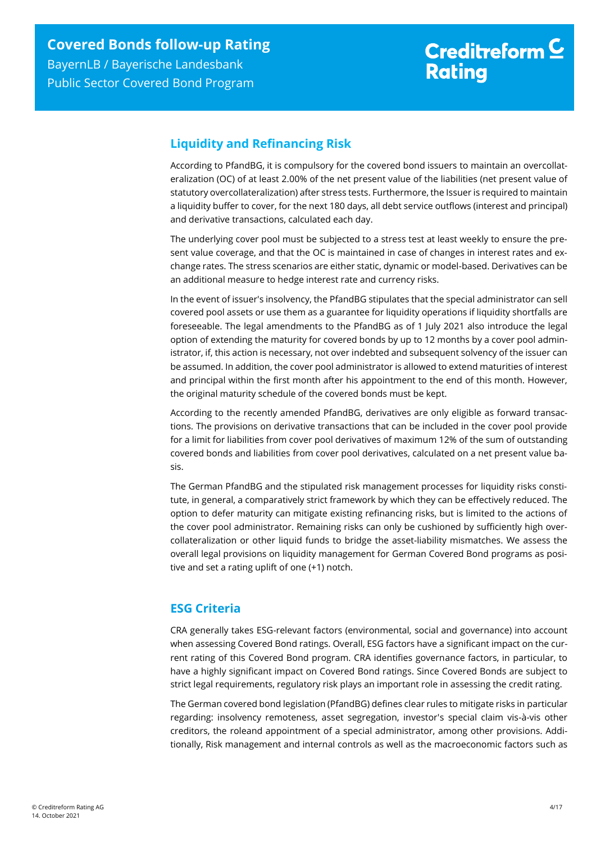# <span id="page-3-0"></span>**Liquidity and Refinancing Risk**

According to PfandBG, it is compulsory for the covered bond issuers to maintain an overcollateralization (OC) of at least 2.00% of the net present value of the liabilities (net present value of statutory overcollateralization) after stress tests. Furthermore, the Issuer is required to maintain a liquidity buffer to cover, for the next 180 days, all debt service outflows (interest and principal) and derivative transactions, calculated each day.

The underlying cover pool must be subjected to a stress test at least weekly to ensure the present value coverage, and that the OC is maintained in case of changes in interest rates and exchange rates. The stress scenarios are either static, dynamic or model-based. Derivatives can be an additional measure to hedge interest rate and currency risks.

In the event of issuer's insolvency, the PfandBG stipulates that the special administrator can sell covered pool assets or use them as a guarantee for liquidity operations if liquidity shortfalls are foreseeable. The legal amendments to the PfandBG as of 1 July 2021 also introduce the legal option of extending the maturity for covered bonds by up to 12 months by a cover pool administrator, if, this action is necessary, not over indebted and subsequent solvency of the issuer can be assumed. In addition, the cover pool administrator is allowed to extend maturities of interest and principal within the first month after his appointment to the end of this month. However, the original maturity schedule of the covered bonds must be kept.

According to the recently amended PfandBG, derivatives are only eligible as forward transactions. The provisions on derivative transactions that can be included in the cover pool provide for a limit for liabilities from cover pool derivatives of maximum 12% of the sum of outstanding covered bonds and liabilities from cover pool derivatives, calculated on a net present value basis.

The German PfandBG and the stipulated risk management processes for liquidity risks constitute, in general, a comparatively strict framework by which they can be effectively reduced. The option to defer maturity can mitigate existing refinancing risks, but is limited to the actions of the cover pool administrator. Remaining risks can only be cushioned by sufficiently high overcollateralization or other liquid funds to bridge the asset-liability mismatches. We assess the overall legal provisions on liquidity management for German Covered Bond programs as positive and set a rating uplift of one (+1) notch.

# <span id="page-3-1"></span>**ESG Criteria**

CRA generally takes ESG-relevant factors (environmental, social and governance) into account when assessing Covered Bond ratings. Overall, ESG factors have a significant impact on the current rating of this Covered Bond program. CRA identifies governance factors, in particular, to have a highly significant impact on Covered Bond ratings. Since Covered Bonds are subject to strict legal requirements, regulatory risk plays an important role in assessing the credit rating.

The German covered bond legislation (PfandBG) defines clear rules to mitigate risks in particular regarding: insolvency remoteness, asset segregation, investor's special claim vis-à-vis other creditors, the roleand appointment of a special administrator, among other provisions. Additionally, Risk management and internal controls as well as the macroeconomic factors such as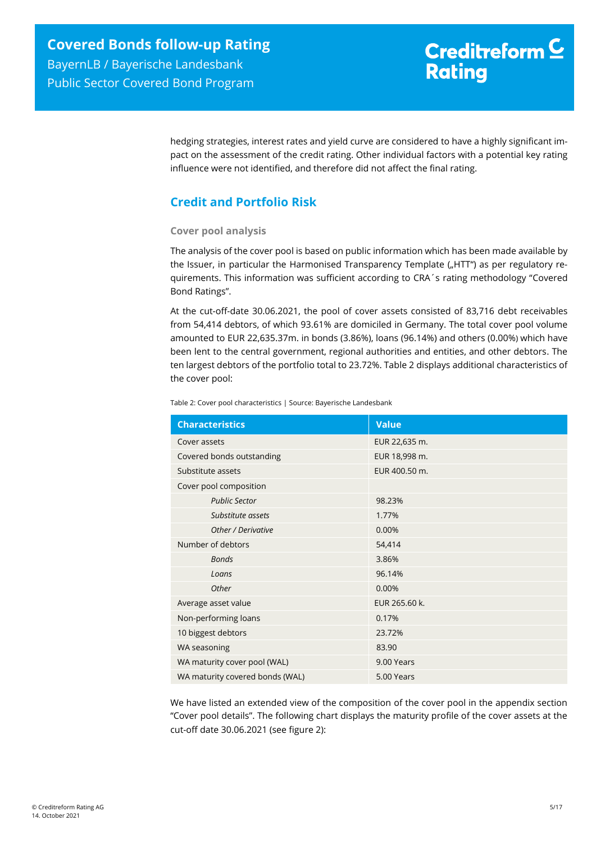# Creditreform<sup>C</sup> **Rating**

hedging strategies, interest rates and yield curve are considered to have a highly significant impact on the assessment of the credit rating. Other individual factors with a potential key rating influence were not identified, and therefore did not affect the final rating.

# <span id="page-4-0"></span>**Credit and Portfolio Risk**

#### **Cover pool analysis**

The analysis of the cover pool is based on public information which has been made available by the Issuer, in particular the Harmonised Transparency Template ("HTT") as per regulatory requirements. This information was sufficient according to CRA´s rating methodology "Covered Bond Ratings".

At the cut-off-date 30.06.2021, the pool of cover assets consisted of 83,716 debt receivables from 54,414 debtors, of which 93.61% are domiciled in Germany. The total cover pool volume amounted to EUR 22,635.37m. in bonds (3.86%), loans (96.14%) and others (0.00%) which have been lent to the central government, regional authorities and entities, and other debtors. The ten largest debtors of the portfolio total to 23.72%. [Table 2](#page-4-1) displays additional characteristics of the cover pool:

<span id="page-4-1"></span>Table 2: Cover pool characteristics | Source: Bayerische Landesbank

| <b>Characteristics</b>          | <b>Value</b>  |
|---------------------------------|---------------|
| Cover assets                    | EUR 22,635 m. |
| Covered bonds outstanding       | EUR 18,998 m. |
| Substitute assets               | EUR 400.50 m. |
| Cover pool composition          |               |
| <b>Public Sector</b>            | 98.23%        |
| Substitute assets               | 1.77%         |
| Other / Derivative              | 0.00%         |
| Number of debtors               | 54,414        |
| <b>Bonds</b>                    | 3.86%         |
| Loans                           | 96.14%        |
| Other                           | 0.00%         |
| Average asset value             | EUR 265.60 k. |
| Non-performing loans            | 0.17%         |
| 10 biggest debtors              | 23.72%        |
| WA seasoning                    | 83.90         |
| WA maturity cover pool (WAL)    | 9.00 Years    |
| WA maturity covered bonds (WAL) | 5.00 Years    |

We have listed an extended view of the composition of the cover pool in the appendix section "Cover pool details". The following chart displays the maturity profile of the cover assets at the cut-off date 30.06.2021 (see [figure 2\)](#page-5-0):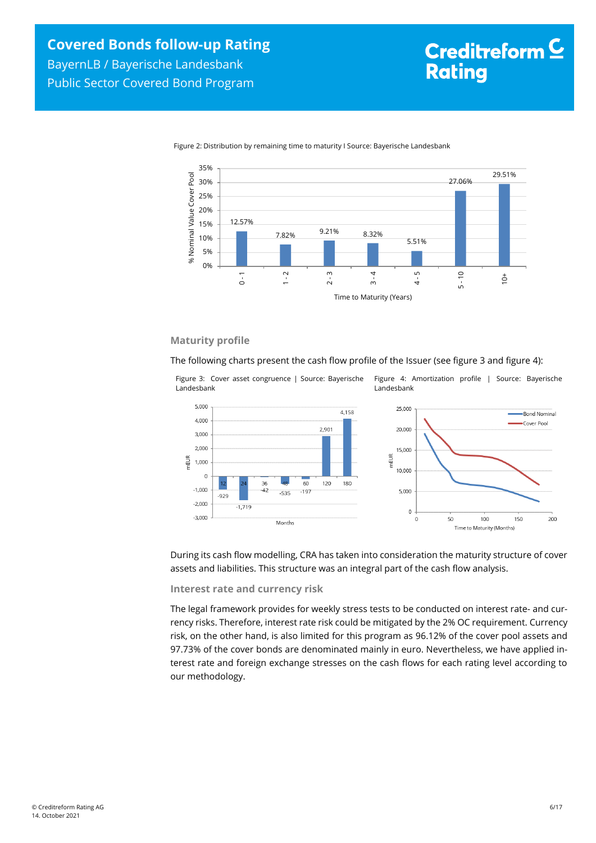<span id="page-5-2"></span>Time to Maturity (Months)



<span id="page-5-0"></span>Figure 2: Distribution by remaining time to maturity I Source: Bayerische Landesbank

#### **Maturity profile**

The following charts present the cash flow profile of the Issuer (see [figure 3](#page-5-1) an[d figure 4\)](#page-5-2):

<span id="page-5-1"></span>

During its cash flow modelling, CRA has taken into consideration the maturity structure of cover assets and liabilities. This structure was an integral part of the cash flow analysis.

**Interest rate and currency risk**

The legal framework provides for weekly stress tests to be conducted on interest rate- and currency risks. Therefore, interest rate risk could be mitigated by the 2% OC requirement. Currency risk, on the other hand, is also limited for this program as 96.12% of the cover pool assets and 97.73% of the cover bonds are denominated mainly in euro. Nevertheless, we have applied interest rate and foreign exchange stresses on the cash flows for each rating level according to our methodology.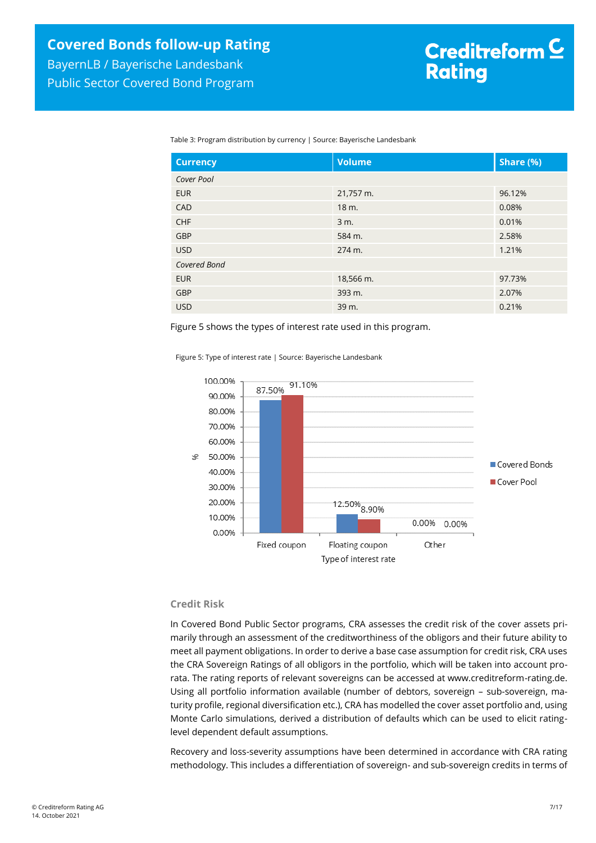Table 3: Program distribution by currency | Source: Bayerische Landesbank

| <b>Currency</b> | <b>Volume</b>     | Share (%) |
|-----------------|-------------------|-----------|
| Cover Pool      |                   |           |
| <b>EUR</b>      | 21,757 m.         | 96.12%    |
| CAD             | 18 m.             | 0.08%     |
| <b>CHF</b>      | 3 m.              | 0.01%     |
| <b>GBP</b>      | 584 m.            | 2.58%     |
| <b>USD</b>      | $274 \text{ m}$ . | 1.21%     |
| Covered Bond    |                   |           |
| <b>EUR</b>      | 18,566 m.         | 97.73%    |
| <b>GBP</b>      | 393 m.            | 2.07%     |
| <b>USD</b>      | 39 m.             | 0.21%     |

Figure 5 shows the types of interest rate used in this program.

Figure 5: Type of interest rate | Source: Bayerische Landesbank



#### **Credit Risk**

In Covered Bond Public Sector programs, CRA assesses the credit risk of the cover assets primarily through an assessment of the creditworthiness of the obligors and their future ability to meet all payment obligations. In order to derive a base case assumption for credit risk, CRA uses the CRA Sovereign Ratings of all obligors in the portfolio, which will be taken into account prorata. The rating reports of relevant sovereigns can be accessed at www.creditreform-rating.de. Using all portfolio information available (number of debtors, sovereign – sub-sovereign, maturity profile, regional diversification etc.), CRA has modelled the cover asset portfolio and, using Monte Carlo simulations, derived a distribution of defaults which can be used to elicit ratinglevel dependent default assumptions.

Recovery and loss-severity assumptions have been determined in accordance with CRA rating methodology. This includes a differentiation of sovereign- and sub-sovereign credits in terms of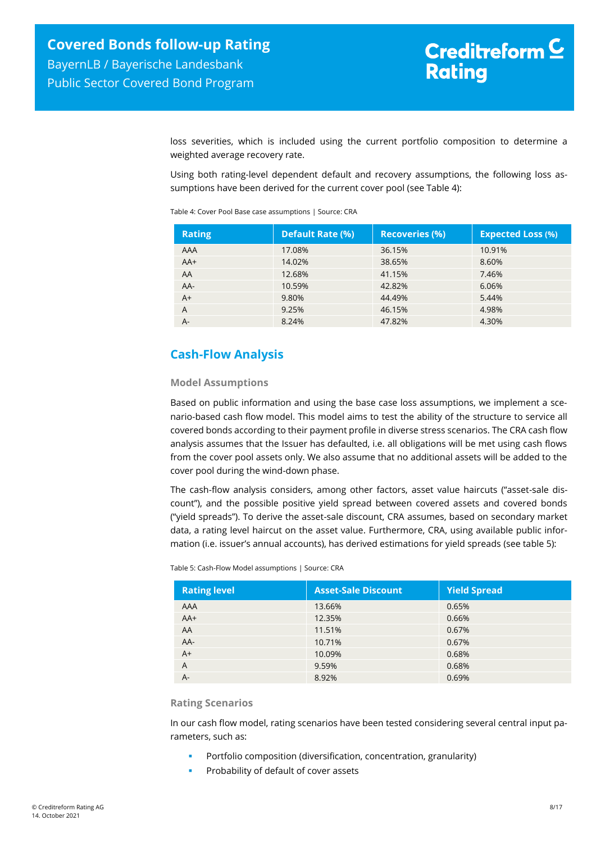Public Sector Covered Bond Program

loss severities, which is included using the current portfolio composition to determine a weighted average recovery rate.

Using both rating-level dependent default and recovery assumptions, the following loss assumptions have been derived for the current cover pool (see [Table 4\)](#page-7-1):

<span id="page-7-1"></span>Table 4: Cover Pool Base case assumptions | Source: CRA

| <b>Rating</b> | <b>Default Rate (%)</b> | <b>Recoveries (%)</b> | <b>Expected Loss (%)</b> |
|---------------|-------------------------|-----------------------|--------------------------|
| AAA           | 17.08%                  | 36.15%                | 10.91%                   |
| $AA+$         | 14.02%                  | 38.65%                | 8.60%                    |
| AA            | 12.68%                  | 41.15%                | 7.46%                    |
| AA-           | 10.59%                  | 42.82%                | 6.06%                    |
| $A+$          | 9.80%                   | 44.49%                | 5.44%                    |
| A             | 9.25%                   | 46.15%                | 4.98%                    |
| $A-$          | 8.24%                   | 47.82%                | 4.30%                    |

# <span id="page-7-0"></span>**Cash-Flow Analysis**

#### **Model Assumptions**

Based on public information and using the base case loss assumptions, we implement a scenario-based cash flow model. This model aims to test the ability of the structure to service all covered bonds according to their payment profile in diverse stress scenarios. The CRA cash flow analysis assumes that the Issuer has defaulted, i.e. all obligations will be met using cash flows from the cover pool assets only. We also assume that no additional assets will be added to the cover pool during the wind-down phase.

The cash-flow analysis considers, among other factors, asset value haircuts ("asset-sale discount"), and the possible positive yield spread between covered assets and covered bonds ("yield spreads"). To derive the asset-sale discount, CRA assumes, based on secondary market data, a rating level haircut on the asset value. Furthermore, CRA, using available public information (i.e. issuer's annual accounts), has derived estimations for yield spreads (se[e table 5\)](#page-7-2):

<span id="page-7-2"></span>Table 5: Cash-Flow Model assumptions | Source: CRA

| <b>Rating level</b> | <b>Asset-Sale Discount</b> | <b>Yield Spread</b> |
|---------------------|----------------------------|---------------------|
| AAA                 | 13.66%                     | 0.65%               |
| $AA+$               | 12.35%                     | 0.66%               |
| AA                  | 11.51%                     | 0.67%               |
| AA-                 | 10.71%                     | 0.67%               |
| $A+$                | 10.09%                     | 0.68%               |
| A                   | 9.59%                      | 0.68%               |
| A-                  | 8.92%                      | 0.69%               |

#### **Rating Scenarios**

In our cash flow model, rating scenarios have been tested considering several central input parameters, such as:

- Portfolio composition (diversification, concentration, granularity)
- Probability of default of cover assets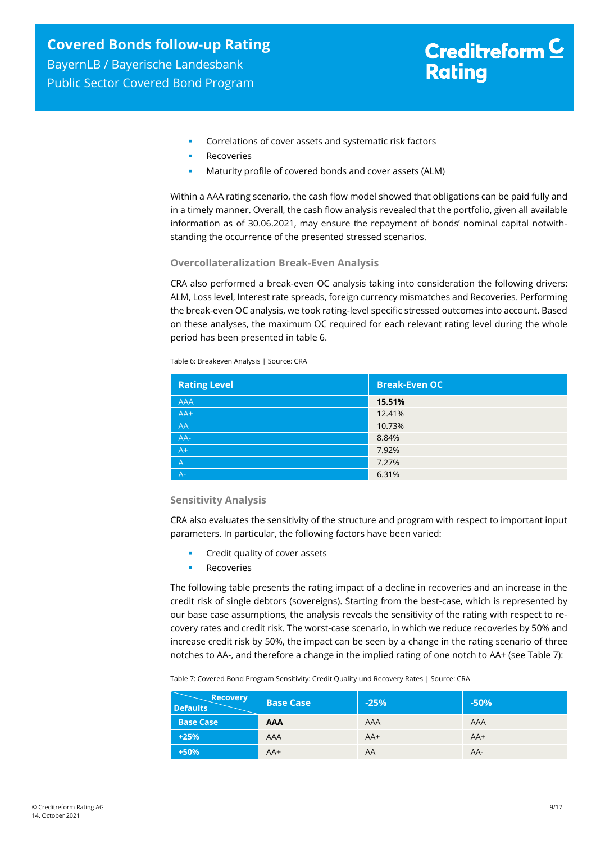# Creditreform<sup>C</sup> **Rating**

- **Correlations of cover assets and systematic risk factors**
- Recoveries
- Maturity profile of covered bonds and cover assets (ALM)

Within a AAA rating scenario, the cash flow model showed that obligations can be paid fully and in a timely manner. Overall, the cash flow analysis revealed that the portfolio, given all available information as of 30.06.2021, may ensure the repayment of bonds' nominal capital notwithstanding the occurrence of the presented stressed scenarios.

#### **Overcollateralization Break-Even Analysis**

CRA also performed a break-even OC analysis taking into consideration the following drivers: ALM, Loss level, Interest rate spreads, foreign currency mismatches and Recoveries. Performing the break-even OC analysis, we took rating-level specific stressed outcomes into account. Based on these analyses, the maximum OC required for each relevant rating level during the whole period has been presented in [table 6.](#page-8-0)

<span id="page-8-0"></span>Table 6: Breakeven Analysis | Source: CRA

| <b>Rating Level</b> | <b>Break-Even OC</b> |
|---------------------|----------------------|
| <b>AAA</b>          | 15.51%               |
| $AA+$               | 12.41%               |
| AA                  | 10.73%               |
| AA-                 | 8.84%                |
| $A+$                | 7.92%                |
| $\overline{A}$      | 7.27%                |
| $A -$               | 6.31%                |

#### **Sensitivity Analysis**

CRA also evaluates the sensitivity of the structure and program with respect to important input parameters. In particular, the following factors have been varied:

- Credit quality of cover assets
- Recoveries

The following table presents the rating impact of a decline in recoveries and an increase in the credit risk of single debtors (sovereigns). Starting from the best-case, which is represented by our base case assumptions, the analysis reveals the sensitivity of the rating with respect to recovery rates and credit risk. The worst-case scenario, in which we reduce recoveries by 50% and increase credit risk by 50%, the impact can be seen by a change in the rating scenario of three notches to AA-, and therefore a change in the implied rating of one notch to AA+ (se[e Table 7\)](#page-8-1):

<span id="page-8-1"></span>Table 7: Covered Bond Program Sensitivity: Credit Quality und Recovery Rates | Source: CRA

| <b>Recovery</b><br><b>Defaults</b> | <b>Base Case</b> | $-25%$     | $-50%$ |
|------------------------------------|------------------|------------|--------|
| <b>Base Case</b>                   | <b>AAA</b>       | <b>AAA</b> | AAA    |
| $+25%$                             | AAA              | $AA+$      | $AA+$  |
| $+50%$                             | $AA+$            | AA         | AA-    |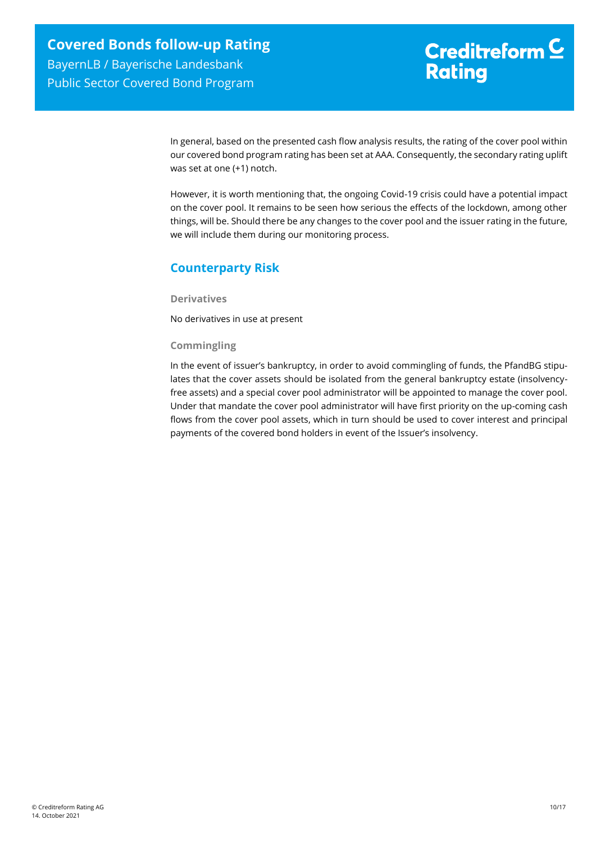In general, based on the presented cash flow analysis results, the rating of the cover pool within our covered bond program rating has been set at AAA. Consequently, the secondary rating uplift was set at one (+1) notch.

However, it is worth mentioning that, the ongoing Covid-19 crisis could have a potential impact on the cover pool. It remains to be seen how serious the effects of the lockdown, among other things, will be. Should there be any changes to the cover pool and the issuer rating in the future, we will include them during our monitoring process.

# <span id="page-9-0"></span>**Counterparty Risk**

**Derivatives**

No derivatives in use at present

#### **Commingling**

In the event of issuer's bankruptcy, in order to avoid commingling of funds, the PfandBG stipulates that the cover assets should be isolated from the general bankruptcy estate (insolvencyfree assets) and a special cover pool administrator will be appointed to manage the cover pool. Under that mandate the cover pool administrator will have first priority on the up-coming cash flows from the cover pool assets, which in turn should be used to cover interest and principal payments of the covered bond holders in event of the Issuer's insolvency.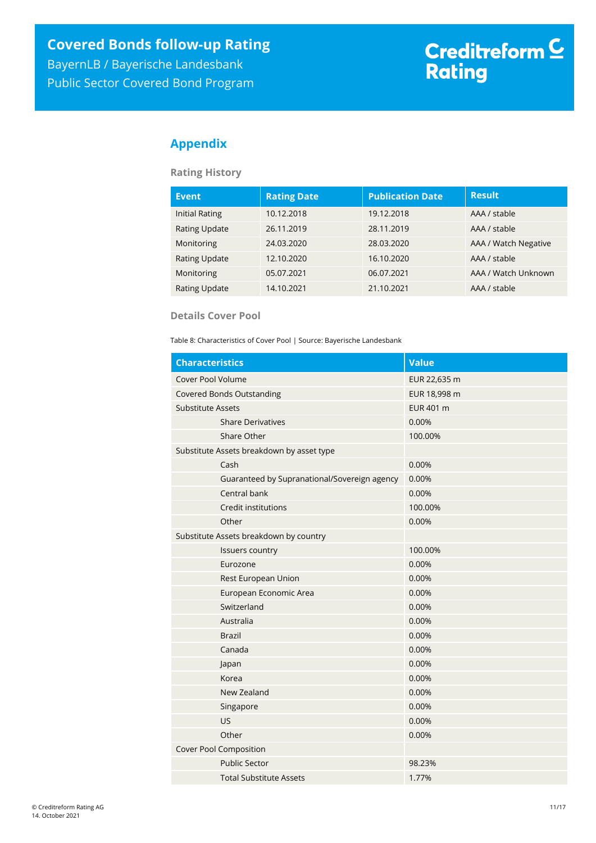Public Sector Covered Bond Program

# <span id="page-10-0"></span>**Appendix**

**Rating History**

| <b>Event</b>          | <b>Rating Date</b> | <b>Publication Date</b> | <b>Result</b>        |
|-----------------------|--------------------|-------------------------|----------------------|
| <b>Initial Rating</b> | 10.12.2018         | 19.12.2018              | AAA / stable         |
| <b>Rating Update</b>  | 26.11.2019         | 28.11.2019              | AAA / stable         |
| Monitoring            | 24.03.2020         | 28.03.2020              | AAA / Watch Negative |
| <b>Rating Update</b>  | 12.10.2020         | 16.10.2020              | AAA / stable         |
| Monitoring            | 05.07.2021         | 06.07.2021              | AAA / Watch Unknown  |
| <b>Rating Update</b>  | 14.10.2021         | 21.10.2021              | AAA / stable         |

#### **Details Cover Pool**

Table 8: Characteristics of Cover Pool | Source: Bayerische Landesbank

| <b>Characteristics</b>           |                                              | <b>Value</b> |
|----------------------------------|----------------------------------------------|--------------|
| Cover Pool Volume                |                                              | EUR 22,635 m |
| <b>Covered Bonds Outstanding</b> |                                              | EUR 18,998 m |
| <b>Substitute Assets</b>         |                                              | EUR 401 m    |
|                                  | <b>Share Derivatives</b>                     | 0.00%        |
|                                  | Share Other                                  | 100.00%      |
|                                  | Substitute Assets breakdown by asset type    |              |
|                                  | Cash                                         | 0.00%        |
|                                  | Guaranteed by Supranational/Sovereign agency | 0.00%        |
|                                  | Central bank                                 | 0.00%        |
|                                  | Credit institutions                          | 100.00%      |
|                                  | Other                                        | 0.00%        |
|                                  | Substitute Assets breakdown by country       |              |
|                                  | <b>Issuers country</b>                       | 100.00%      |
|                                  | Eurozone                                     | 0.00%        |
|                                  | Rest European Union                          | 0.00%        |
|                                  | European Economic Area                       | 0.00%        |
|                                  | Switzerland                                  | 0.00%        |
|                                  | Australia                                    | 0.00%        |
|                                  | <b>Brazil</b>                                | 0.00%        |
|                                  | Canada                                       | 0.00%        |
|                                  | Japan                                        | 0.00%        |
|                                  | Korea                                        | 0.00%        |
|                                  | New Zealand                                  | 0.00%        |
|                                  | Singapore                                    | 0.00%        |
|                                  | US                                           | 0.00%        |
|                                  | Other                                        | 0.00%        |
|                                  | Cover Pool Composition                       |              |
|                                  | <b>Public Sector</b>                         | 98.23%       |
|                                  | <b>Total Substitute Assets</b>               | 1.77%        |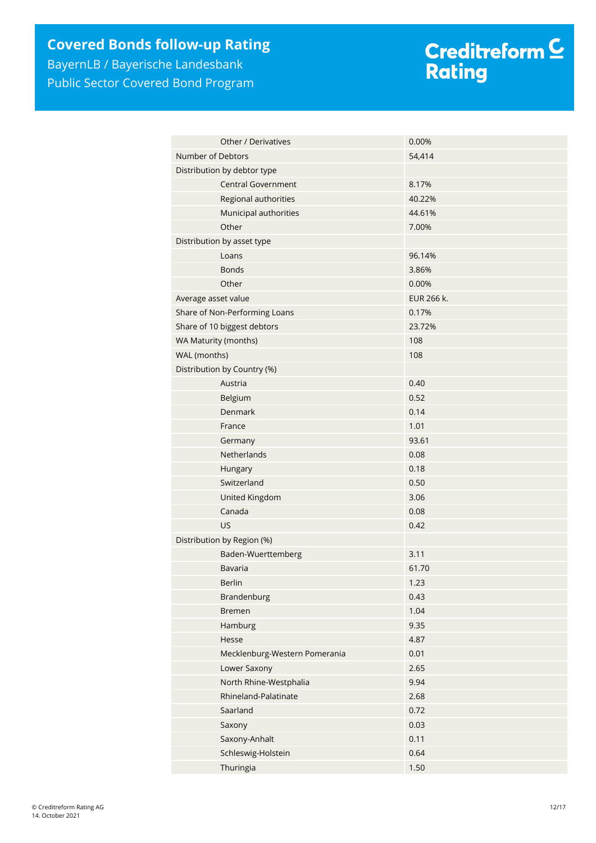# **Covered Bonds follow-up Rating**

BayernLB / Bayerische Landesbank Public Sector Covered Bond Program

# Creditreform <mark>C</mark><br>Rating

| Other / Derivatives           | 0.00%      |  |
|-------------------------------|------------|--|
| Number of Debtors             | 54,414     |  |
| Distribution by debtor type   |            |  |
| <b>Central Government</b>     | 8.17%      |  |
| Regional authorities          | 40.22%     |  |
| Municipal authorities         | 44.61%     |  |
| Other                         | 7.00%      |  |
| Distribution by asset type    |            |  |
| Loans                         | 96.14%     |  |
| <b>Bonds</b>                  | 3.86%      |  |
| Other                         | 0.00%      |  |
| Average asset value           | EUR 266 k. |  |
| Share of Non-Performing Loans | 0.17%      |  |
| Share of 10 biggest debtors   | 23.72%     |  |
| WA Maturity (months)          | 108        |  |
| WAL (months)                  | 108        |  |
| Distribution by Country (%)   |            |  |
| Austria                       | 0.40       |  |
| Belgium                       | 0.52       |  |
| Denmark                       | 0.14       |  |
| France                        | 1.01       |  |
| Germany                       | 93.61      |  |
| Netherlands                   | 0.08       |  |
| Hungary                       | 0.18       |  |
| Switzerland                   | 0.50       |  |
| United Kingdom                | 3.06       |  |
| Canada                        | 0.08       |  |
| <b>US</b>                     | 0.42       |  |
| Distribution by Region (%)    |            |  |
| Baden-Wuerttemberg            | 3.11       |  |
| Bavaria                       | 61.70      |  |
| Berlin                        | 1.23       |  |
| Brandenburg                   | 0.43       |  |
| <b>Bremen</b>                 | 1.04       |  |
| Hamburg                       | 9.35       |  |
| Hesse                         | 4.87       |  |
| Mecklenburg-Western Pomerania | 0.01       |  |
| Lower Saxony                  | 2.65       |  |
| North Rhine-Westphalia        | 9.94       |  |
| Rhineland-Palatinate          | 2.68       |  |
| Saarland                      | 0.72       |  |
| Saxony                        | 0.03       |  |
| Saxony-Anhalt                 | 0.11       |  |
| Schleswig-Holstein            | 0.64       |  |
| Thuringia                     | 1.50       |  |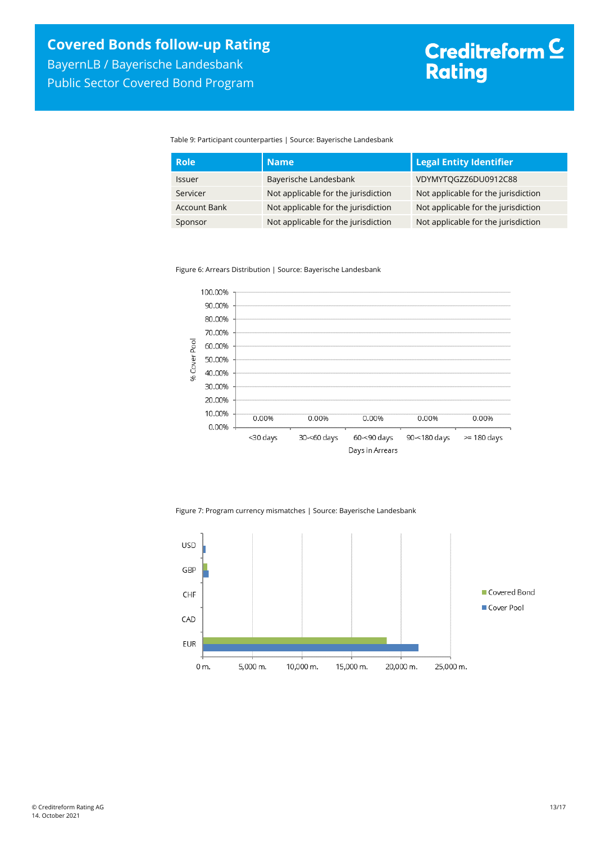Table 9: Participant counterparties | Source: Bayerische Landesbank

| <b>Role</b>         | <b>Name</b>                         | <b>Legal Entity Identifier</b>      |
|---------------------|-------------------------------------|-------------------------------------|
| <b>Issuer</b>       | Bayerische Landesbank               | VDYMYTOGZZ6DU0912C88                |
| Servicer            | Not applicable for the jurisdiction | Not applicable for the jurisdiction |
| <b>Account Bank</b> | Not applicable for the jurisdiction | Not applicable for the jurisdiction |
| Sponsor             | Not applicable for the jurisdiction | Not applicable for the jurisdiction |

Figure 6: Arrears Distribution | Source: Bayerische Landesbank



Figure 7: Program currency mismatches | Source: Bayerische Landesbank

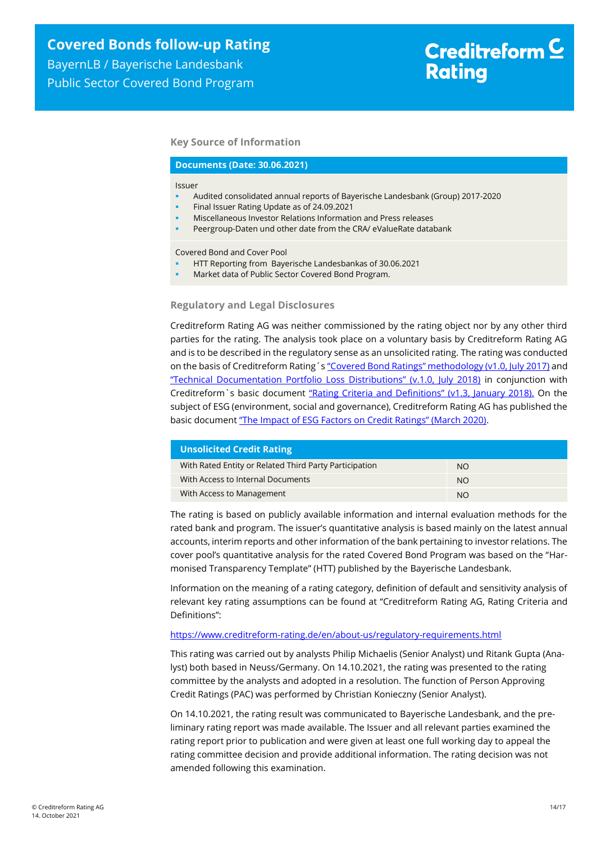BayernLB / Bayerische Landesbank Public Sector Covered Bond Program

#### **Key Source of Information**

#### **Documents (Date: 30.06.2021)**

#### Issuer

- Audited consolidated annual reports of Bayerische Landesbank (Group) 2017-2020
- Final Issuer Rating Update as of 24.09.2021
- Miscellaneous Investor Relations Information and Press releases
- Peergroup-Daten und other date from the CRA/ eValueRate databank

Covered Bond and Cover Pool

- HTT Reporting from Bayerische Landesbankas of 30.06.2021
- Market data of Public Sector Covered Bond Program.

#### **Regulatory and Legal Disclosures**

Creditreform Rating AG was neither commissioned by the rating object nor by any other third parties for the rating. The analysis took place on a voluntary basis by Creditreform Rating AG and is to be described in the regulatory sense as an unsolicited rating. The rating was conducted on the basis of Creditreform Rating's ["Covered Bond Ratings" methodology \(v1.0, July 2017\)](https://creditreform-rating.de/en/about-us/regulatory-requirements.html?file=files/content/downloads/Externes%20Rating/Regulatorische%20Anforderungen/EN/Ratingmethodiken%20EN/Rating%20Methodology%20Covered%20Bonds.pdf) and ["Technical Documentation Portfolio Loss Distributions" \(v.1.0, July 2018\)](https://creditreform-rating.de/en/about-us/regulatory-requirements.html?file=files/content/downloads/Externes%20Rating/Regulatorische%20Anforderungen/EN/Ratingmethodiken%20EN/Technical%20Documentation%20Portfolio%20Loss%20Distributions.pdf) in conjunction with Creditreform`s basic document ["Rating Criteria and Definitions" \(v1.3, January 2018\).](https://creditreform-rating.de/en/about-us/regulatory-requirements.html?file=files/content/downloads/Externes%20Rating/Regulatorische%20Anforderungen/EN/Ratingmethodiken%20EN/CRAG%20Rating%20Criteria%20and%20Definitions.pdf) On the subject of ESG (environment, social and governance), Creditreform Rating AG has published the basic document ["The Impact of ESG Factors on Credit Ratings" \(March 2020\)](https://creditreform-rating.de/en/about-us/regulatory-requirements.html?file=files/content/downloads/Externes%20Rating/Regulatorische%20Anforderungen/EN/Ratingmethodiken%20EN/The%20Impact%20of%20ESG%20Factors%20on%20Credit%20Ratings.pdf).

| <b>Unsolicited Credit Rating</b>                       |           |
|--------------------------------------------------------|-----------|
| With Rated Entity or Related Third Party Participation | NO.       |
| With Access to Internal Documents                      | <b>NO</b> |
| With Access to Management                              | <b>NO</b> |

The rating is based on publicly available information and internal evaluation methods for the rated bank and program. The issuer's quantitative analysis is based mainly on the latest annual accounts, interim reports and other information of the bank pertaining to investor relations. The cover pool's quantitative analysis for the rated Covered Bond Program was based on the "Harmonised Transparency Template" (HTT) published by the Bayerische Landesbank.

Information on the meaning of a rating category, definition of default and sensitivity analysis of relevant key rating assumptions can be found at "Creditreform Rating AG, Rating Criteria and Definitions":

#### <https://www.creditreform-rating.de/en/about-us/regulatory-requirements.html>

This rating was carried out by analysts Philip Michaelis (Senior Analyst) und Ritank Gupta (Analyst) both based in Neuss/Germany. On 14.10.2021, the rating was presented to the rating committee by the analysts and adopted in a resolution. The function of Person Approving Credit Ratings (PAC) was performed by Christian Konieczny (Senior Analyst).

On 14.10.2021, the rating result was communicated to Bayerische Landesbank, and the preliminary rating report was made available. The Issuer and all relevant parties examined the rating report prior to publication and were given at least one full working day to appeal the rating committee decision and provide additional information. The rating decision was not amended following this examination.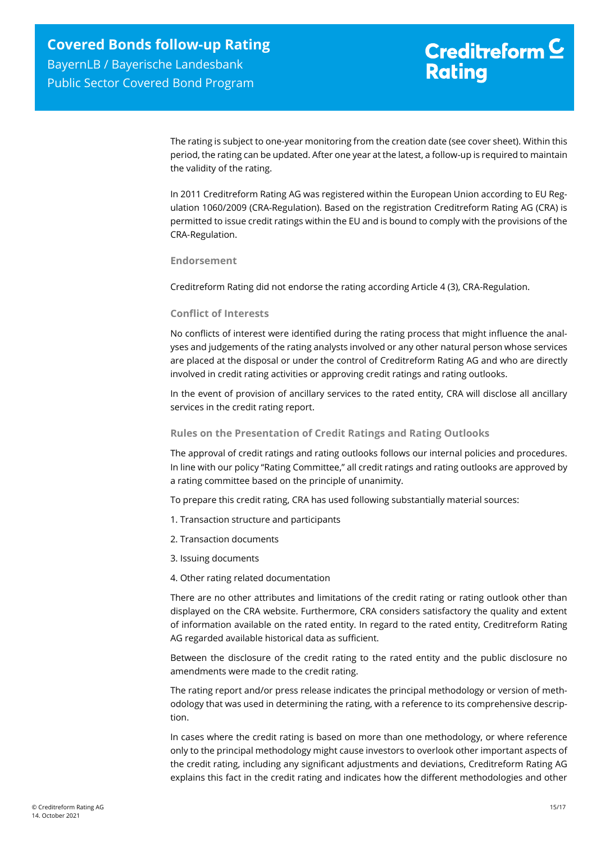The rating is subject to one-year monitoring from the creation date (see cover sheet). Within this period, the rating can be updated. After one year at the latest, a follow-up is required to maintain the validity of the rating.

In 2011 Creditreform Rating AG was registered within the European Union according to EU Regulation 1060/2009 (CRA-Regulation). Based on the registration Creditreform Rating AG (CRA) is permitted to issue credit ratings within the EU and is bound to comply with the provisions of the CRA-Regulation.

**Endorsement**

Creditreform Rating did not endorse the rating according Article 4 (3), CRA-Regulation.

#### **Conflict of Interests**

No conflicts of interest were identified during the rating process that might influence the analyses and judgements of the rating analysts involved or any other natural person whose services are placed at the disposal or under the control of Creditreform Rating AG and who are directly involved in credit rating activities or approving credit ratings and rating outlooks.

In the event of provision of ancillary services to the rated entity, CRA will disclose all ancillary services in the credit rating report.

#### **Rules on the Presentation of Credit Ratings and Rating Outlooks**

The approval of credit ratings and rating outlooks follows our internal policies and procedures. In line with our policy "Rating Committee," all credit ratings and rating outlooks are approved by a rating committee based on the principle of unanimity.

To prepare this credit rating, CRA has used following substantially material sources:

- 1. Transaction structure and participants
- 2. Transaction documents
- 3. Issuing documents
- 4. Other rating related documentation

There are no other attributes and limitations of the credit rating or rating outlook other than displayed on the CRA website. Furthermore, CRA considers satisfactory the quality and extent of information available on the rated entity. In regard to the rated entity, Creditreform Rating AG regarded available historical data as sufficient.

Between the disclosure of the credit rating to the rated entity and the public disclosure no amendments were made to the credit rating.

The rating report and/or press release indicates the principal methodology or version of methodology that was used in determining the rating, with a reference to its comprehensive description.

In cases where the credit rating is based on more than one methodology, or where reference only to the principal methodology might cause investors to overlook other important aspects of the credit rating, including any significant adjustments and deviations, Creditreform Rating AG explains this fact in the credit rating and indicates how the different methodologies and other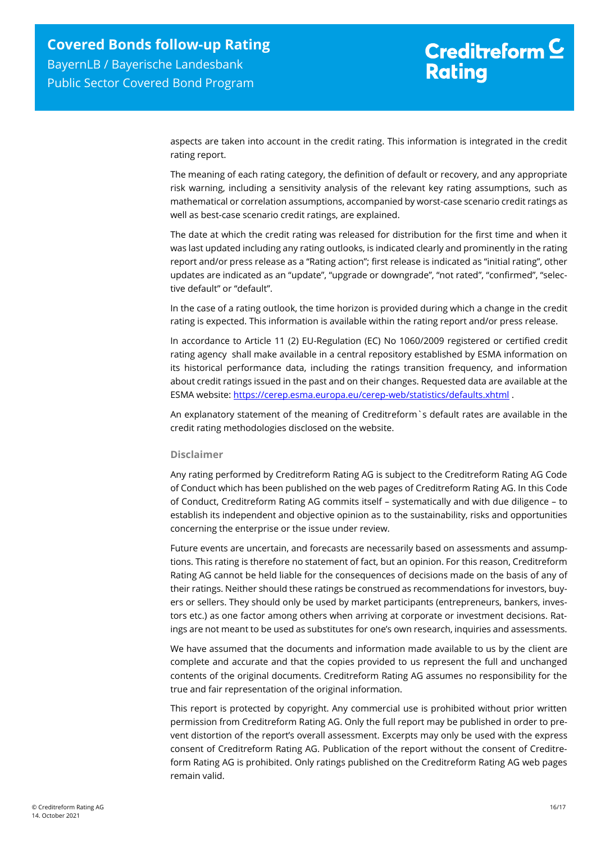aspects are taken into account in the credit rating. This information is integrated in the credit rating report.

The meaning of each rating category, the definition of default or recovery, and any appropriate risk warning, including a sensitivity analysis of the relevant key rating assumptions, such as mathematical or correlation assumptions, accompanied by worst-case scenario credit ratings as well as best-case scenario credit ratings, are explained.

The date at which the credit rating was released for distribution for the first time and when it was last updated including any rating outlooks, is indicated clearly and prominently in the rating report and/or press release as a "Rating action"; first release is indicated as "initial rating", other updates are indicated as an "update", "upgrade or downgrade", "not rated", "confirmed", "selective default" or "default".

In the case of a rating outlook, the time horizon is provided during which a change in the credit rating is expected. This information is available within the rating report and/or press release.

In accordance to Article 11 (2) EU-Regulation (EC) No 1060/2009 registered or certified credit rating agency shall make available in a central repository established by ESMA information on its historical performance data, including the ratings transition frequency, and information about credit ratings issued in the past and on their changes. Requested data are available at the ESMA website:<https://cerep.esma.europa.eu/cerep-web/statistics/defaults.xhtml> .

An explanatory statement of the meaning of Creditreform`s default rates are available in the credit rating methodologies disclosed on the website.

#### **Disclaimer**

Any rating performed by Creditreform Rating AG is subject to the Creditreform Rating AG Code of Conduct which has been published on the web pages of Creditreform Rating AG. In this Code of Conduct, Creditreform Rating AG commits itself – systematically and with due diligence – to establish its independent and objective opinion as to the sustainability, risks and opportunities concerning the enterprise or the issue under review.

Future events are uncertain, and forecasts are necessarily based on assessments and assumptions. This rating is therefore no statement of fact, but an opinion. For this reason, Creditreform Rating AG cannot be held liable for the consequences of decisions made on the basis of any of their ratings. Neither should these ratings be construed as recommendations for investors, buyers or sellers. They should only be used by market participants (entrepreneurs, bankers, investors etc.) as one factor among others when arriving at corporate or investment decisions. Ratings are not meant to be used as substitutes for one's own research, inquiries and assessments.

We have assumed that the documents and information made available to us by the client are complete and accurate and that the copies provided to us represent the full and unchanged contents of the original documents. Creditreform Rating AG assumes no responsibility for the true and fair representation of the original information.

This report is protected by copyright. Any commercial use is prohibited without prior written permission from Creditreform Rating AG. Only the full report may be published in order to prevent distortion of the report's overall assessment. Excerpts may only be used with the express consent of Creditreform Rating AG. Publication of the report without the consent of Creditreform Rating AG is prohibited. Only ratings published on the Creditreform Rating AG web pages remain valid.